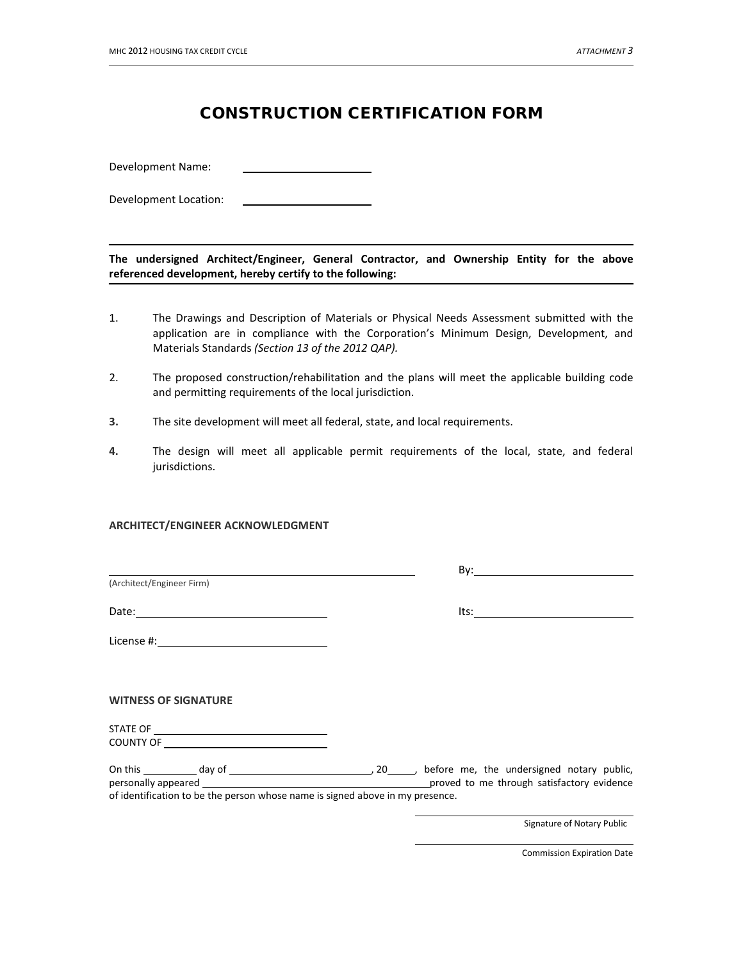## CONSTRUCTION CERTIFICATION FORM

Development Name:

Development Location:

**The undersigned Architect/Engineer, General Contractor, and Ownership Entity for the above referenced development, hereby certify to the following:**

- 1. The Drawings and Description of Materials or Physical Needs Assessment submitted with the application are in compliance with the Corporation's Minimum Design, Development, and Materials Standards *(Section 13 of the 2012 QAP).*
- 2. The proposed construction/rehabilitation and the plans will meet the applicable building code and permitting requirements of the local jurisdiction.
- **3.** The site development will meet all federal, state, and local requirements.
- **4.** The design will meet all applicable permit requirements of the local, state, and federal jurisdictions.

## **ARCHITECT/ENGINEER ACKNOWLEDGMENT**

|                                                                               | $\mathsf{By:}\qquad \qquad \blacksquare$ |
|-------------------------------------------------------------------------------|------------------------------------------|
| (Architect/Engineer Firm)                                                     |                                          |
|                                                                               | $Its:\_$                                 |
|                                                                               |                                          |
|                                                                               |                                          |
| <b>WITNESS OF SIGNATURE</b>                                                   |                                          |
|                                                                               |                                          |
|                                                                               |                                          |
|                                                                               |                                          |
| of identification to be the person whose name is signed above in my presence. |                                          |
|                                                                               | Signature of Notary Public               |

Commission Expiration Date